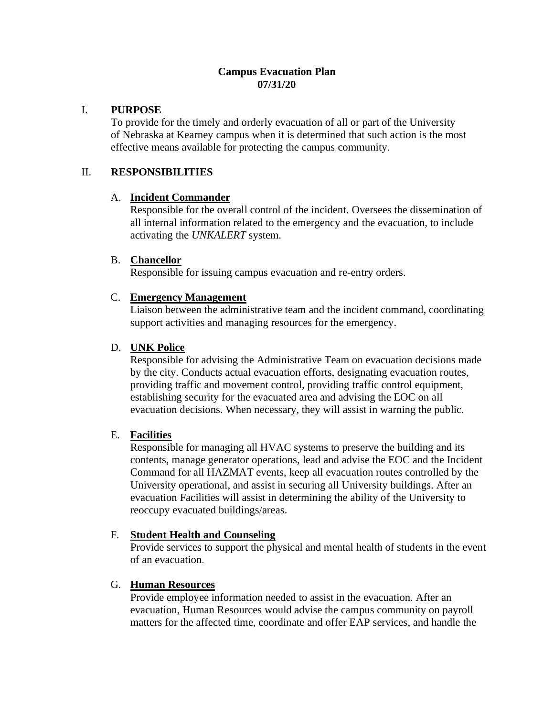## **Campus Evacuation Plan 07/31/20**

### I. **PURPOSE**

To provide for the timely and orderly evacuation of all or part of the University of Nebraska at Kearney campus when it is determined that such action is the most effective means available for protecting the campus community.

## II. **RESPONSIBILITIES**

### A. **Incident Commander**

Responsible for the overall control of the incident. Oversees the dissemination of all internal information related to the emergency and the evacuation, to include activating the *UNKALERT* system.

### B. **Chancellor**

Responsible for issuing campus evacuation and re-entry orders.

### C. **Emergency Management**

Liaison between the administrative team and the incident command, coordinating support activities and managing resources for the emergency.

### D. **UNK Police**

Responsible for advising the Administrative Team on evacuation decisions made by the city. Conducts actual evacuation efforts, designating evacuation routes, providing traffic and movement control, providing traffic control equipment, establishing security for the evacuated area and advising the EOC on all evacuation decisions. When necessary, they will assist in warning the public.

## E. **Facilities**

Responsible for managing all HVAC systems to preserve the building and its contents, manage generator operations, lead and advise the EOC and the Incident Command for all HAZMAT events, keep all evacuation routes controlled by the University operational, and assist in securing all University buildings. After an evacuation Facilities will assist in determining the ability of the University to reoccupy evacuated buildings/areas.

## F. **Student Health and Counseling**

Provide services to support the physical and mental health of students in the event of an evacuation.

## G. **Human Resources**

Provide employee information needed to assist in the evacuation. After an evacuation, Human Resources would advise the campus community on payroll matters for the affected time, coordinate and offer EAP services, and handle the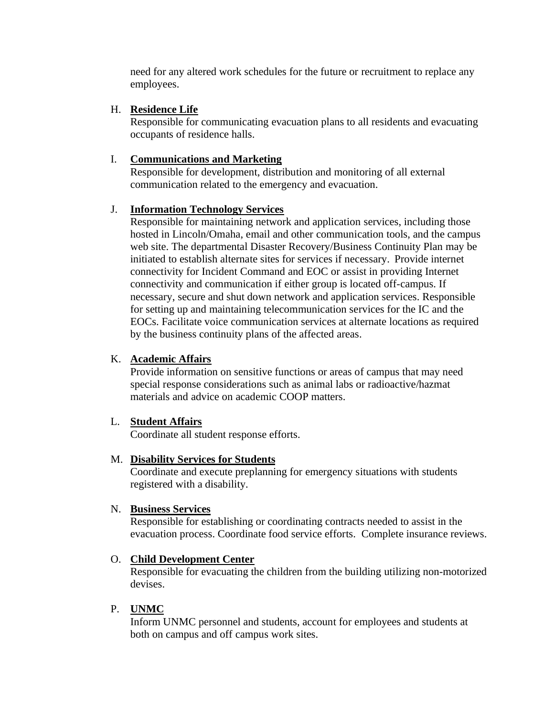need for any altered work schedules for the future or recruitment to replace any employees.

## H. **Residence Life**

Responsible for communicating evacuation plans to all residents and evacuating occupants of residence halls.

## I. **Communications and Marketing**

Responsible for development, distribution and monitoring of all external communication related to the emergency and evacuation.

### J. **Information Technology Services**

Responsible for maintaining network and application services, including those hosted in Lincoln/Omaha, email and other communication tools, and the campus web site. The departmental Disaster Recovery/Business Continuity Plan may be initiated to establish alternate sites for services if necessary. Provide internet connectivity for Incident Command and EOC or assist in providing Internet connectivity and communication if either group is located off-campus. If necessary, secure and shut down network and application services. Responsible for setting up and maintaining telecommunication services for the IC and the EOCs. Facilitate voice communication services at alternate locations as required by the business continuity plans of the affected areas.

### K. **Academic Affairs**

Provide information on sensitive functions or areas of campus that may need special response considerations such as animal labs or radioactive/hazmat materials and advice on academic COOP matters.

### L. **Student Affairs**

Coordinate all student response efforts.

### M. **Disability Services for Students**

Coordinate and execute preplanning for emergency situations with students registered with a disability.

### N. **Business Services**

Responsible for establishing or coordinating contracts needed to assist in the evacuation process. Coordinate food service efforts. Complete insurance reviews.

### O. **Child Development Center**

Responsible for evacuating the children from the building utilizing non-motorized devises.

## P. **UNMC**

Inform UNMC personnel and students, account for employees and students at both on campus and off campus work sites.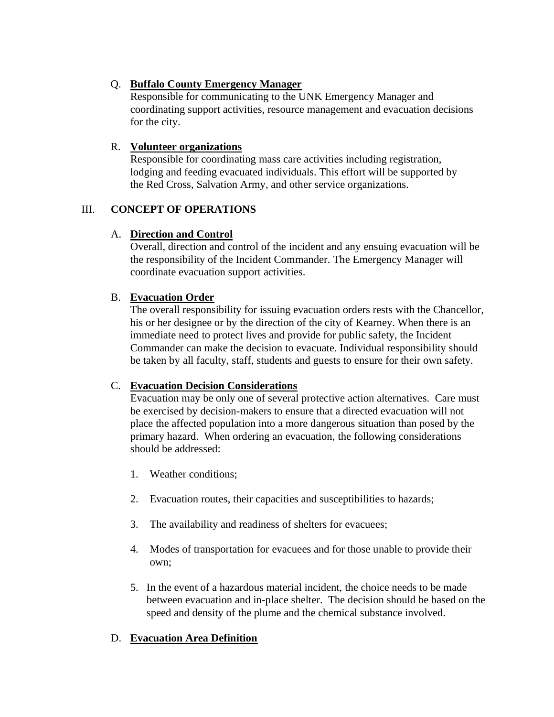# Q. **Buffalo County Emergency Manager**

Responsible for communicating to the UNK Emergency Manager and coordinating support activities, resource management and evacuation decisions for the city.

## R. **Volunteer organizations**

Responsible for coordinating mass care activities including registration, lodging and feeding evacuated individuals. This effort will be supported by the Red Cross, Salvation Army, and other service organizations.

# III. **CONCEPT OF OPERATIONS**

# A. **Direction and Control**

Overall, direction and control of the incident and any ensuing evacuation will be the responsibility of the Incident Commander. The Emergency Manager will coordinate evacuation support activities.

# B. **Evacuation Order**

The overall responsibility for issuing evacuation orders rests with the Chancellor, his or her designee or by the direction of the city of Kearney. When there is an immediate need to protect lives and provide for public safety, the Incident Commander can make the decision to evacuate. Individual responsibility should be taken by all faculty, staff, students and guests to ensure for their own safety.

# C. **Evacuation Decision Considerations**

Evacuation may be only one of several protective action alternatives. Care must be exercised by decision-makers to ensure that a directed evacuation will not place the affected population into a more dangerous situation than posed by the primary hazard. When ordering an evacuation, the following considerations should be addressed:

- 1. Weather conditions;
- 2. Evacuation routes, their capacities and susceptibilities to hazards;
- 3. The availability and readiness of shelters for evacuees;
- 4. Modes of transportation for evacuees and for those unable to provide their own;
- 5. In the event of a hazardous material incident, the choice needs to be made between evacuation and in-place shelter. The decision should be based on the speed and density of the plume and the chemical substance involved.

# D. **Evacuation Area Definition**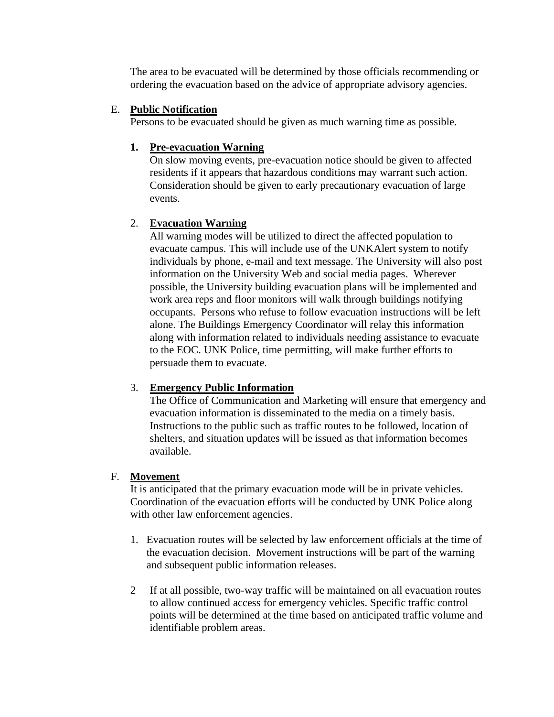The area to be evacuated will be determined by those officials recommending or ordering the evacuation based on the advice of appropriate advisory agencies.

### E. **Public Notification**

Persons to be evacuated should be given as much warning time as possible.

## **1. Pre-evacuation Warning**

On slow moving events, pre-evacuation notice should be given to affected residents if it appears that hazardous conditions may warrant such action. Consideration should be given to early precautionary evacuation of large events.

## 2. **Evacuation Warning**

All warning modes will be utilized to direct the affected population to evacuate campus. This will include use of the UNKAlert system to notify individuals by phone, e-mail and text message. The University will also post information on the University Web and social media pages. Wherever possible, the University building evacuation plans will be implemented and work area reps and floor monitors will walk through buildings notifying occupants. Persons who refuse to follow evacuation instructions will be left alone. The Buildings Emergency Coordinator will relay this information along with information related to individuals needing assistance to evacuate to the EOC. UNK Police, time permitting, will make further efforts to persuade them to evacuate.

## 3. **Emergency Public Information**

The Office of Communication and Marketing will ensure that emergency and evacuation information is disseminated to the media on a timely basis. Instructions to the public such as traffic routes to be followed, location of shelters, and situation updates will be issued as that information becomes available.

## F. **Movement**

It is anticipated that the primary evacuation mode will be in private vehicles. Coordination of the evacuation efforts will be conducted by UNK Police along with other law enforcement agencies.

- 1. Evacuation routes will be selected by law enforcement officials at the time of the evacuation decision. Movement instructions will be part of the warning and subsequent public information releases.
- 2 If at all possible, two-way traffic will be maintained on all evacuation routes to allow continued access for emergency vehicles. Specific traffic control points will be determined at the time based on anticipated traffic volume and identifiable problem areas.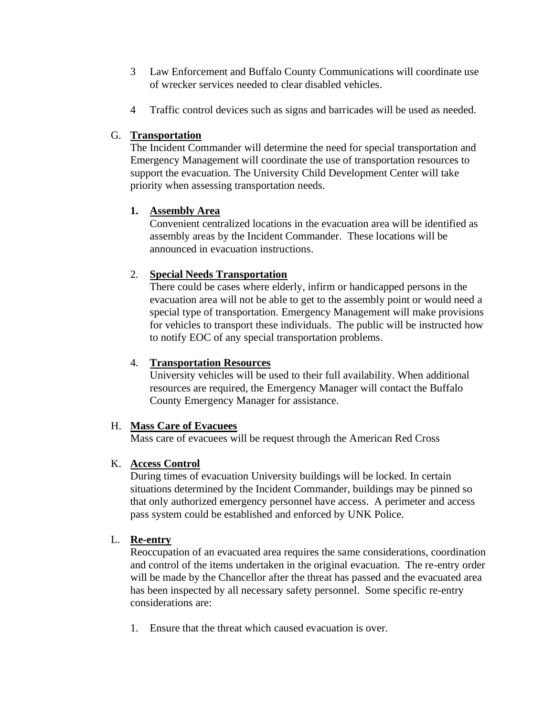- 3 Law Enforcement and Buffalo County Communications will coordinate use of wrecker services needed to clear disabled vehicles.
- 4 Traffic control devices such as signs and barricades will be used as needed.

## G. **Transportation**

The Incident Commander will determine the need for special transportation and Emergency Management will coordinate the use of transportation resources to support the evacuation. The University Child Development Center will take priority when assessing transportation needs.

# **1. Assembly Area**

Convenient centralized locations in the evacuation area will be identified as assembly areas by the Incident Commander. These locations will be announced in evacuation instructions.

# 2. **Special Needs Transportation**

There could be cases where elderly, infirm or handicapped persons in the evacuation area will not be able to get to the assembly point or would need a special type of transportation. Emergency Management will make provisions for vehicles to transport these individuals. The public will be instructed how to notify EOC of any special transportation problems.

## 4. **Transportation Resources**

University vehicles will be used to their full availability. When additional resources are required, the Emergency Manager will contact the Buffalo County Emergency Manager for assistance.

## H. **Mass Care of Evacuees**

Mass care of evacuees will be request through the American Red Cross

# K. **Access Control**

During times of evacuation University buildings will be locked. In certain situations determined by the Incident Commander, buildings may be pinned so that only authorized emergency personnel have access. A perimeter and access pass system could be established and enforced by UNK Police.

# L. **Re-entry**

Reoccupation of an evacuated area requires the same considerations, coordination and control of the items undertaken in the original evacuation. The re-entry order will be made by the Chancellor after the threat has passed and the evacuated area has been inspected by all necessary safety personnel. Some specific re-entry considerations are:

1. Ensure that the threat which caused evacuation is over.